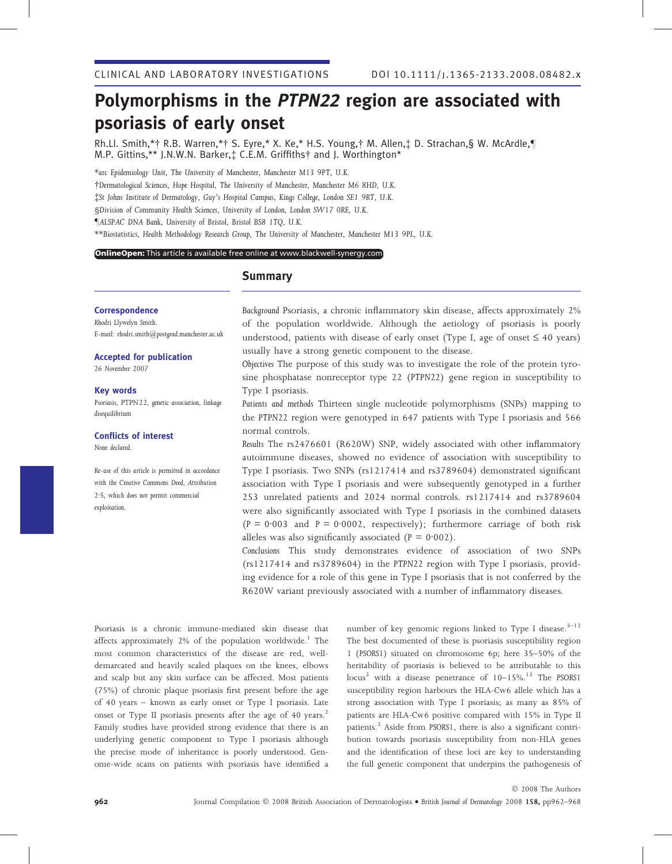# Polymorphisms in the PTPN22 region are associated with psoriasis of early onset

Rh.Ll. Smith,\*† R.B. Warren,\*† S. Eyre,\* X. Ke,\* H.S. Young,† M. Allen,‡ D. Strachan,§ W. McArdle,¶ M.P. Gittins,\*\* J.N.W.N. Barker,‡ C.E.M. Griffiths† and J. Worthington\*

\*arc Epidemiology Unit, The University of Manchester, Manchester M13 9PT, U.K. -Dermatological Sciences, Hope Hospital, The University of Manchester, Manchester M6 8HD, U.K. St Johns Institute of Dermatology, Guy's Hospital Campus, Kings College, London SE1 9RT, U.K. §Division of Community Health Sciences, University of London, London SW17 0RE, U.K. –ALSPAC DNA Bank, University of Bristol, Bristol BS8 1TQ, U.K. \*\*Biostatistics, Health Methodology Research Group, The University of Manchester, Manchester M13 9PL, U.K.

**OnlineOpen:** This article is available free online at www.blackwell-synergy.com

**Correspondence** Rhodri Llywelyn Smith. E-mail: rhodri.smith@postgrad.manchester.ac.uk

Accepted for publication

26 November 2007

### Key words

Psoriasis, PTPN22, genetic association, linkage disequilibrium

## Conflicts of interest

None declared.

Re-use of this article is permitted in accordance with the Creative Commons Deed, Attribution 2.5, which does not permit commercial exploitation.

## **Summary**

Background Psoriasis, a chronic inflammatory skin disease, affects approximately 2% of the population worldwide. Although the aetiology of psoriasis is poorly understood, patients with disease of early onset (Type I, age of onset  $\leq 40$  years) usually have a strong genetic component to the disease.

Objectives The purpose of this study was to investigate the role of the protein tyrosine phosphatase nonreceptor type 22 (PTPN22) gene region in susceptibility to Type I psoriasis.

Patients and methods Thirteen single nucleotide polymorphisms (SNPs) mapping to the PTPN22 region were genotyped in 647 patients with Type I psoriasis and 566 normal controls.

Results The rs2476601 (R620W) SNP, widely associated with other inflammatory autoimmune diseases, showed no evidence of association with susceptibility to Type I psoriasis. Two SNPs (rs1217414 and rs3789604) demonstrated significant association with Type I psoriasis and were subsequently genotyped in a further 253 unrelated patients and 2024 normal controls. rs1217414 and rs3789604 were also significantly associated with Type I psoriasis in the combined datasets (P = 0.003 and P = 0.0002, respectively); furthermore carriage of both risk alleles was also significantly associated ( $P = 0.002$ ).

Conclusions This study demonstrates evidence of association of two SNPs (rs1217414 and rs3789604) in the PTPN22 region with Type I psoriasis, providing evidence for a role of this gene in Type I psoriasis that is not conferred by the R620W variant previously associated with a number of inflammatory diseases.

Psoriasis is a chronic immune-mediated skin disease that affects approximately  $2\%$  of the population worldwide.<sup>1</sup> The most common characteristics of the disease are red, welldemarcated and heavily scaled plaques on the knees, elbows and scalp but any skin surface can be affected. Most patients (75%) of chronic plaque psoriasis first present before the age of 40 years – known as early onset or Type I psoriasis. Late onset or Type II psoriasis presents after the age of 40 years.<sup>2</sup> Family studies have provided strong evidence that there is an underlying genetic component to Type I psoriasis although the precise mode of inheritance is poorly understood. Genome-wide scans on patients with psoriasis have identified a

number of key genomic regions linked to Type I disease.<sup>3-12</sup> The best documented of these is psoriasis susceptibility region 1 (PSORS1) situated on chromosome 6p; here 35–50% of the heritability of psoriasis is believed to be attributable to this locus<sup>3</sup> with a disease penetrance of  $10-15\%$ .<sup>13</sup> The PSORS1 susceptibility region harbours the HLA-Cw6 allele which has a strong association with Type I psoriasis; as many as 85% of patients are HLA-Cw6 positive compared with 15% in Type II patients.<sup>2</sup> Aside from PSORS1, there is also a significant contribution towards psoriasis susceptibility from non-HLA genes and the identification of these loci are key to understanding the full genetic component that underpins the pathogenesis of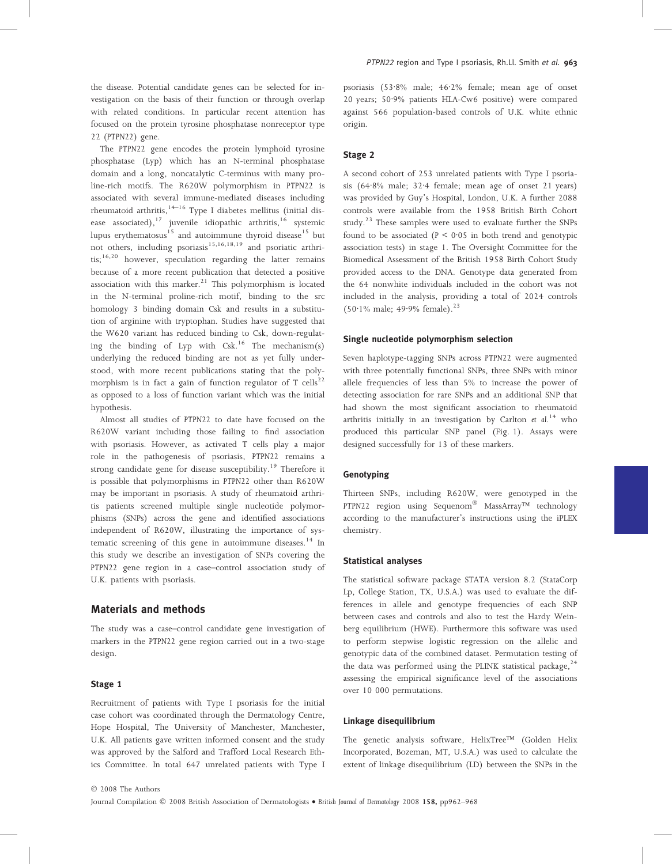the disease. Potential candidate genes can be selected for investigation on the basis of their function or through overlap with related conditions. In particular recent attention has focused on the protein tyrosine phosphatase nonreceptor type 22 (PTPN22) gene.

The PTPN22 gene encodes the protein lymphoid tyrosine phosphatase (Lyp) which has an N-terminal phosphatase domain and a long, noncatalytic C-terminus with many proline-rich motifs. The R620W polymorphism in PTPN22 is associated with several immune-mediated diseases including rheumatoid arthritis, <sup>14–16</sup> Type I diabetes mellitus (initial disease associated),<sup>17</sup> juvenile idiopathic arthritis,<sup>16</sup> systemic lupus erythematosus $^{15}$  and autoimmune thyroid disease<sup>15</sup> but not others, including psoriasis<sup>15,16,18,19</sup> and psoriatic arthri- $\text{tis};^{16,20}$  however, speculation regarding the latter remains because of a more recent publication that detected a positive association with this marker. $21$  This polymorphism is located in the N-terminal proline-rich motif, binding to the src homology 3 binding domain Csk and results in a substitution of arginine with tryptophan. Studies have suggested that the W620 variant has reduced binding to Csk, down-regulating the binding of Lyp with  $Csk.$ <sup>16</sup> The mechanism(s) underlying the reduced binding are not as yet fully understood, with more recent publications stating that the polymorphism is in fact a gain of function regulator of T cells<sup>22</sup> as opposed to a loss of function variant which was the initial hypothesis.

Almost all studies of PTPN22 to date have focused on the R620W variant including those failing to find association with psoriasis. However, as activated T cells play a major role in the pathogenesis of psoriasis, PTPN22 remains a strong candidate gene for disease susceptibility.<sup>19</sup> Therefore it is possible that polymorphisms in PTPN22 other than R620W may be important in psoriasis. A study of rheumatoid arthritis patients screened multiple single nucleotide polymorphisms (SNPs) across the gene and identified associations independent of R620W, illustrating the importance of systematic screening of this gene in autoimmune diseases.<sup>14</sup> In this study we describe an investigation of SNPs covering the PTPN22 gene region in a case–control association study of U.K. patients with psoriasis.

## Materials and methods

The study was a case–control candidate gene investigation of markers in the PTPN22 gene region carried out in a two-stage design.

#### Stage 1

Recruitment of patients with Type I psoriasis for the initial case cohort was coordinated through the Dermatology Centre, Hope Hospital, The University of Manchester, Manchester, U.K. All patients gave written informed consent and the study was approved by the Salford and Trafford Local Research Ethics Committee. In total 647 unrelated patients with Type I psoriasis (53.8% male;  $46.2\%$  female; mean age of onset 20 years; 50.9% patients HLA-Cw6 positive) were compared against 566 population-based controls of U.K. white ethnic origin.

## Stage 2

A second cohort of 253 unrelated patients with Type I psoriasis  $(64.8\%$  male;  $32.4$  female; mean age of onset 21 years) was provided by Guy's Hospital, London, U.K. A further 2088 controls were available from the 1958 British Birth Cohort study.<sup>23</sup> These samples were used to evaluate further the SNPs found to be associated ( $P < 0.05$  in both trend and genotypic association tests) in stage 1. The Oversight Committee for the Biomedical Assessment of the British 1958 Birth Cohort Study provided access to the DNA. Genotype data generated from the 64 nonwhite individuals included in the cohort was not included in the analysis, providing a total of 2024 controls  $(50.1\% \text{ male}; 49.9\% \text{ female}).^{23}$ 

#### Single nucleotide polymorphism selection

Seven haplotype-tagging SNPs across PTPN22 were augmented with three potentially functional SNPs, three SNPs with minor allele frequencies of less than 5% to increase the power of detecting association for rare SNPs and an additional SNP that had shown the most significant association to rheumatoid arthritis initially in an investigation by Carlton  $et$   $dl$ .<sup>14</sup> who produced this particular SNP panel (Fig. 1). Assays were designed successfully for 13 of these markers.

## Genotyping

Thirteen SNPs, including R620W, were genotyped in the PTPN22 region using Sequenom<sup>®</sup> MassArray<sup>TM</sup> technology according to the manufacturer's instructions using the iPLEX chemistry.

## Statistical analyses

The statistical software package STATA version 8.2 (StataCorp Lp, College Station, TX, U.S.A.) was used to evaluate the differences in allele and genotype frequencies of each SNP between cases and controls and also to test the Hardy Weinberg equilibrium (HWE). Furthermore this software was used to perform stepwise logistic regression on the allelic and genotypic data of the combined dataset. Permutation testing of the data was performed using the PLINK statistical package,  $24$ assessing the empirical significance level of the associations over 10 000 permutations.

## Linkage disequilibrium

The genetic analysis software, HelixTree™ (Golden Helix Incorporated, Bozeman, MT, U.S.A.) was used to calculate the extent of linkage disequilibrium (LD) between the SNPs in the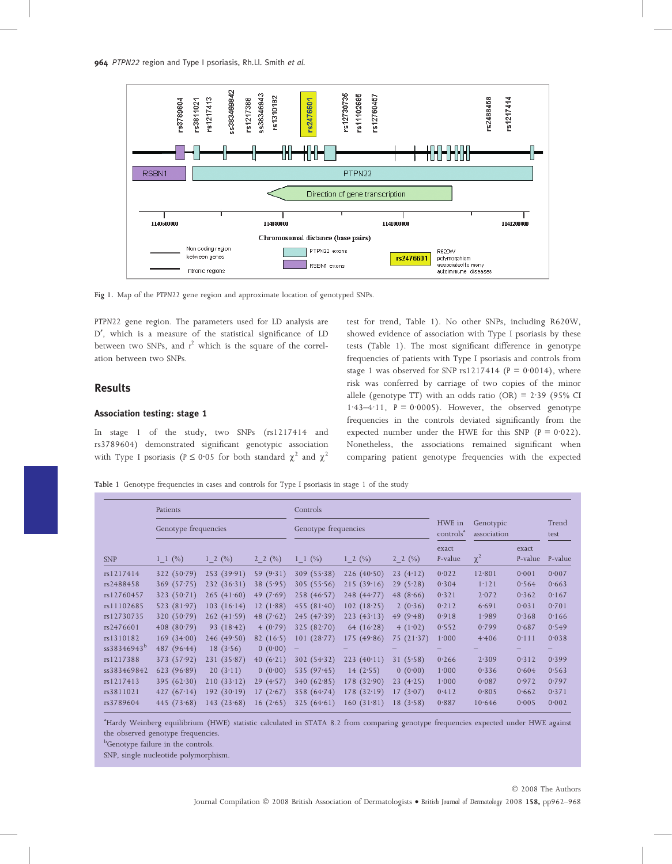

Fig 1. Map of the PTPN22 gene region and approximate location of genotyped SNPs.

PTPN22 gene region. The parameters used for LD analysis are D', which is a measure of the statistical significance of LD between two SNPs, and  $r^2$  which is the square of the correlation between two SNPs.

## Results

## Association testing: stage 1

In stage 1 of the study, two SNPs (rs1217414 and rs3789604) demonstrated significant genotypic association with Type I psoriasis ( $P \le 0.05$  for both standard  $\chi^2$  and  $\chi^2$  test for trend, Table 1). No other SNPs, including R620W, showed evidence of association with Type I psoriasis by these tests (Table 1). The most significant difference in genotype frequencies of patients with Type I psoriasis and controls from stage 1 was observed for SNP rs1217414 ( $P = 0.0014$ ), where risk was conferred by carriage of two copies of the minor allele (genotype TT) with an odds ratio (OR) =  $2.39$  (95% CI  $1.43-4.11$ ,  $P = 0.0005$ ). However, the observed genotype frequencies in the controls deviated significantly from the expected number under the HWE for this SNP ( $P = 0.022$ ). Nonetheless, the associations remained significant when comparing patient genotype frequencies with the expected

Table 1 Genotype frequencies in cases and controls for Type I psoriasis in stage 1 of the study

|                         | Patients<br>Genotype frequencies |              |             | Controls<br>HWE in<br>Genotype frequencies<br>controls <sup>a</sup> |              |               |         |                          |         |               |
|-------------------------|----------------------------------|--------------|-------------|---------------------------------------------------------------------|--------------|---------------|---------|--------------------------|---------|---------------|
|                         |                                  |              |             |                                                                     |              |               |         | Genotypic<br>association |         | Trend<br>test |
|                         |                                  |              |             |                                                                     |              |               | exact   |                          | exact   |               |
| <b>SNP</b>              | $1 \; 1 \; (%)$                  | $1 \t2 (\%)$ | 2 2 $(\%)$  | $1 \t1 (\%)$                                                        | $1 \t2 (\%)$ | $2 \t2 \t(%)$ | P-value | $\chi^2$                 | P-value | P-value       |
| rs1217414               | 322(50.79)                       | 253(39.91)   | 59 $(9.31)$ | 309(55.38)                                                          | 226(40.50)   | 23(4.12)      | 0.022   | 12.801                   | 0.001   | 0.007         |
| rs2488458               | 369(57.75)                       | 232(36.31)   | 38(5.95)    | 305(55.56)                                                          | 215(39.16)   | 29(5.28)      | 0.304   | 1.121                    | 0.564   | 0.663         |
| rs12760457              | 323(50.71)                       | 265(41.60)   | 49 $(7.69)$ | 258(46.57)                                                          | 248(44.77)   | 48 $(8.66)$   | 0.321   | 2.072                    | 0.362   | 0.167         |
| rs11102685              | 523 $(81.97)$                    | 103(16.14)   | 12 $(1.88)$ | 455 $(81.40)$                                                       | 102(18.25)   | 2(0.36)       | 0.212   | 6.691                    | 0.031   | 0.701         |
| rs12730735              | 320(50.79)                       | 262(41.59)   | 48 $(7.62)$ | 245(47.39)                                                          | 223(43.13)   | 49 $(9.48)$   | 0.918   | 1.989                    | 0.368   | 0.166         |
| rs2476601               | 408(80.79)                       | 93 $(18.42)$ | 4(0.79)     | 325(82.70)                                                          | 64 $(16.28)$ | 4(1.02)       | 0.552   | 0.799                    | 0.687   | 0.549         |
| rs1310182               | 169(34.00)                       | 246(49.50)   | 82 $(16.5)$ | 101(28.77)                                                          | 175(49.86)   | 75 $(21.37)$  | 1.000   | 4.406                    | 0.111   | 0.038         |
| ss38346943 <sup>b</sup> | 487 $(96.44)$                    | 18(3.56)     | 0(0.00)     |                                                                     |              |               |         |                          |         |               |
| rs1217388               | 373(57.92)                       | 231(35.87)   | 40 $(6.21)$ | 302(54.32)                                                          | 223(40.11)   | 31(5.58)      | 0.266   | 2.309                    | 0.312   | 0.399         |
| ss383469842             | 623(96.89)                       | 20(3.11)     | 0(0.00)     | 535 $(97.45)$                                                       | 14(2.55)     | 0(0.00)       | 1.000   | 0.336                    | 0.604   | 0.563         |
| rs1217413               | 395(62.30)                       | 210(33.12)   | 29(4.57)    | 340(62.85)                                                          | 178(32.90)   | 23(4.25)      | 1.000   | 0.087                    | 0.972   | 0.797         |
| rs3811021               | 427 $(67.14)$                    | 192(30.19)   | 17(2.67)    | 358(64.74)                                                          | 178(32.19)   | 17(3.07)      | 0.412   | 0.805                    | 0.662   | 0.371         |
| rs3789604               | 445 $(73.68)$                    | 143(23.68)   | 16(2.65)    | 325(64.61)                                                          | 160(31.81)   | 18(3.58)      | 0.887   | 10.646                   | 0.005   | 0.002         |

a Hardy Weinberg equilibrium (HWE) statistic calculated in STATA 8.2 from comparing genotype frequencies expected under HWE against the observed genotype frequencies.

<sup>b</sup>Genotype failure in the controls.

SNP, single nucleotide polymorphism.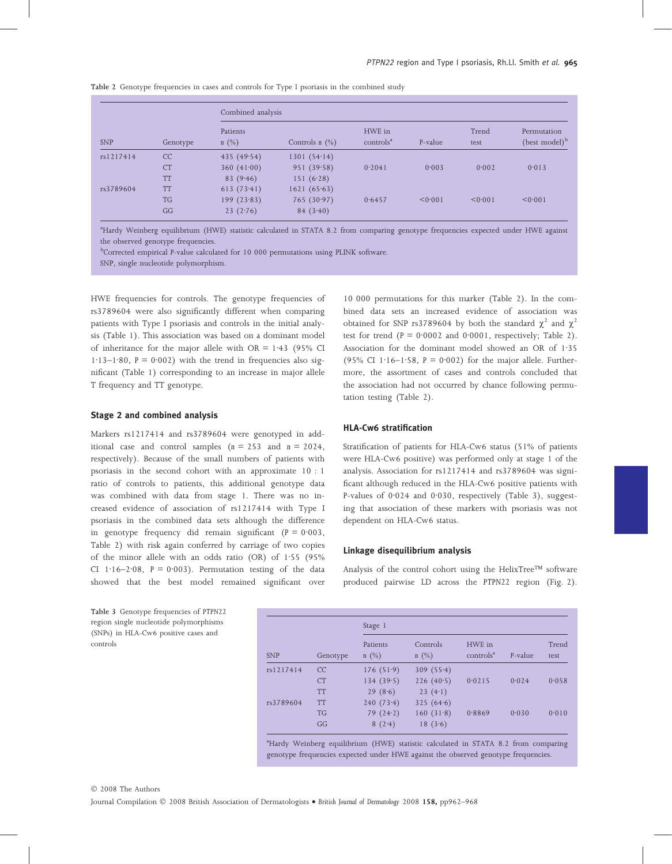Table 2 Genotype frequencies in cases and controls for Type I psoriasis in the combined study

| <b>SNP</b> | Genotype  | Combined analysis   |                     |                                 |         |               |                                          |  |  |
|------------|-----------|---------------------|---------------------|---------------------------------|---------|---------------|------------------------------------------|--|--|
|            |           | Patients<br>$n(\%)$ | Controls $n$ $(\%)$ | HWE in<br>controls <sup>a</sup> | P-value | Trend<br>test | Permutation<br>(best model) <sup>b</sup> |  |  |
| rs1217414  | CC        | 435(49.54)          | 1301(54.14)         |                                 |         |               |                                          |  |  |
|            | CT        | 360 $(41.00)$       | 951(39.58)          | 0.2041                          | 0.003   | 0.002         | 0.013                                    |  |  |
|            | <b>TT</b> | 83(9.46)            | 151(6.28)           |                                 |         |               |                                          |  |  |
| rs3789604  | TT        | 613(73.41)          | 1621(65.63)         |                                 |         |               |                                          |  |  |
|            | <b>TG</b> | 199(23.83)          | 765(30.97)          | 0.6457                          | < 0.001 | < 0.001       | < 0.001                                  |  |  |
|            | GG        | 23(2.76)            | 84(3.40)            |                                 |         |               |                                          |  |  |

a Hardy Weinberg equilibrium (HWE) statistic calculated in STATA 8.2 from comparing genotype frequencies expected under HWE against the observed genotype frequencies.

b Corrected empirical P-value calculated for 10 000 permutations using PLINK software.

SNP, single nucleotide polymorphism.

HWE frequencies for controls. The genotype frequencies of rs3789604 were also significantly different when comparing patients with Type I psoriasis and controls in the initial analysis (Table 1). This association was based on a dominant model of inheritance for the major allele with  $OR = 1.43$  (95% CI 1·13–1·80,  $P = 0.002$ ) with the trend in frequencies also significant (Table 1) corresponding to an increase in major allele T frequency and TT genotype.

## Stage 2 and combined analysis

Markers rs1217414 and rs3789604 were genotyped in additional case and control samples  $(n = 253$  and  $n = 2024$ , respectively). Because of the small numbers of patients with psoriasis in the second cohort with an approximate 10 : 1 ratio of controls to patients, this additional genotype data was combined with data from stage 1. There was no increased evidence of association of rs1217414 with Type I psoriasis in the combined data sets although the difference in genotype frequency did remain significant ( $P = 0.003$ , Table 2) with risk again conferred by carriage of two copies of the minor allele with an odds ratio  $(OR)$  of 1.55 (95%) CI 1 $\cdot$ 16–2 $\cdot$ 08, P = 0 $\cdot$ 003). Permutation testing of the data showed that the best model remained significant over

10 000 permutations for this marker (Table 2). In the combined data sets an increased evidence of association was obtained for SNP rs3789604 by both the standard  $\chi^2$  and  $\chi^2$ test for trend ( $P = 0.0002$  and 0.0001, respectively; Table 2). Association for the dominant model showed an OR of 1.35 (95% CI 1·16–1·58,  $P = 0.002$ ) for the major allele. Furthermore, the assortment of cases and controls concluded that the association had not occurred by chance following permutation testing (Table 2).

## HLA-Cw6 stratification

Stratification of patients for HLA-Cw6 status (51% of patients were HLA-Cw6 positive) was performed only at stage 1 of the analysis. Association for rs1217414 and rs3789604 was significant although reduced in the HLA-Cw6 positive patients with P-values of  $0.024$  and  $0.030$ , respectively (Table 3), suggesting that association of these markers with psoriasis was not dependent on HLA-Cw6 status.

## Linkage disequilibrium analysis

Analysis of the control cohort using the HelixTree<sup>TM</sup> software produced pairwise LD across the PTPN22 region (Fig. 2).

Table 3 Genotype frequencies of PTPN22 region single nucleotide polymorphisms (SNPs) in HLA-Cw6 positive cases and controls

|            | Genotype  | Stage 1             |                     |                                 |         |               |  |  |
|------------|-----------|---------------------|---------------------|---------------------------------|---------|---------------|--|--|
| <b>SNP</b> |           | Patients<br>$n(\%)$ | Controls<br>$n(\%)$ | HWE in<br>controls <sup>a</sup> | P-value | Trend<br>test |  |  |
| rs1217414  | CC        | 176(51.9)           | 309(55.4)           |                                 |         |               |  |  |
|            | <b>CT</b> | 134(39.5)           | 226(40.5)           | 0.0215                          | 0.024   | 0.058         |  |  |
|            | TT        | 29(8.6)             | 23(4.1)             |                                 |         |               |  |  |
| rs3789604  | TT        | 240(73.4)           | 325(64.6)           |                                 |         |               |  |  |
|            | <b>TG</b> | 79(24.2)            | 160(31.8)           | 0.8869                          | 0.030   | 0.010         |  |  |
|            | GG        | 8(2.4)              | 18(3.6)             |                                 |         |               |  |  |

<sup>a</sup>Hardy Weinberg equilibrium (HWE) statistic calculated in STATA 8.2 from comparing genotype frequencies expected under HWE against the observed genotype frequencies.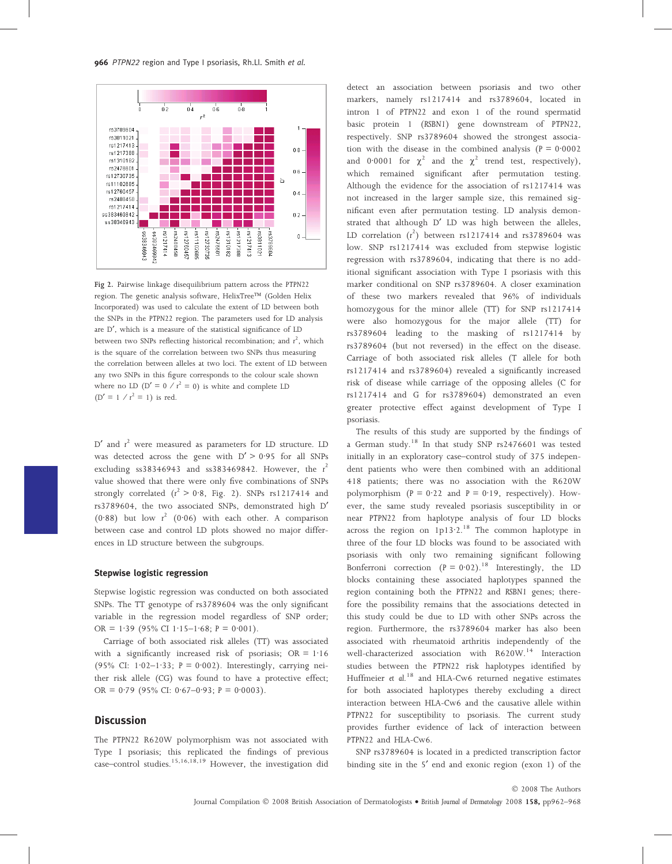

Fig 2. Pairwise linkage disequilibrium pattern across the PTPN22 region. The genetic analysis software, HelixTree<sup>TM</sup> (Golden Helix Incorporated) was used to calculate the extent of LD between both the SNPs in the PTPN22 region. The parameters used for LD analysis are D', which is a measure of the statistical significance of LD between two SNPs reflecting historical recombination; and  $r^2$ , which is the square of the correlation between two SNPs thus measuring the correlation between alleles at two loci. The extent of LD between any two SNPs in this figure corresponds to the colour scale shown where no LD ( $D' = 0 / r^2 = 0$ ) is white and complete LD  $(D' = 1 / r^2 = 1)$  is red.

 $D'$  and  $r^2$  were measured as parameters for LD structure. LD was detected across the gene with  $D' > 0.95$  for all SNPs excluding  $ss38346943$  and  $ss383469842$ . However, the  $r^2$ value showed that there were only five combinations of SNPs strongly correlated  $(r^2 > 0.8,$  Fig. 2). SNPs rs1217414 and rs3789604, the two associated SNPs, demonstrated high D' (0.88) but low  $r^2$  (0.06) with each other. A comparison between case and control LD plots showed no major differences in LD structure between the subgroups.

#### Stepwise logistic regression

Stepwise logistic regression was conducted on both associated SNPs. The TT genotype of rs3789604 was the only significant variable in the regression model regardless of SNP order; OR = 1.39 (95% CI 1.15–1.68; P = 0.001).

Carriage of both associated risk alleles (TT) was associated with a significantly increased risk of psoriasis;  $OR = 1.16$ (95% CI:  $1.02-1.33$ ;  $P = 0.002$ ). Interestingly, carrying neither risk allele (CG) was found to have a protective effect; OR = 0.79 (95% CI: 0.67-0.93; P = 0.0003).

## **Discussion**

The PTPN22 R620W polymorphism was not associated with Type I psoriasis; this replicated the findings of previous case–control studies.15,16,18,19 However, the investigation did detect an association between psoriasis and two other markers, namely rs1217414 and rs3789604, located in intron 1 of PTPN22 and exon 1 of the round spermatid basic protein 1 (RSBN1) gene downstream of PTPN22, respectively. SNP rs3789604 showed the strongest association with the disease in the combined analysis ( $P = 0.0002$ ) and 0.0001 for  $\chi^2$  and the  $\chi^2$  trend test, respectively), which remained significant after permutation testing. Although the evidence for the association of rs1217414 was not increased in the larger sample size, this remained significant even after permutation testing. LD analysis demonstrated that although D' LD was high between the alleles, LD correlation  $(r^2)$  between rs1217414 and rs3789604 was low. SNP rs1217414 was excluded from stepwise logistic regression with rs3789604, indicating that there is no additional significant association with Type I psoriasis with this marker conditional on SNP rs3789604. A closer examination of these two markers revealed that 96% of individuals homozygous for the minor allele (TT) for SNP rs1217414 were also homozygous for the major allele (TT) for rs3789604 leading to the masking of rs1217414 by rs3789604 (but not reversed) in the effect on the disease. Carriage of both associated risk alleles (T allele for both rs1217414 and rs3789604) revealed a significantly increased risk of disease while carriage of the opposing alleles (C for rs1217414 and G for rs3789604) demonstrated an even greater protective effect against development of Type I psoriasis.

The results of this study are supported by the findings of a German study.<sup>18</sup> In that study SNP rs2476601 was tested initially in an exploratory case–control study of 375 independent patients who were then combined with an additional 418 patients; there was no association with the R620W polymorphism ( $P = 0.22$  and  $P = 0.19$ , respectively). However, the same study revealed psoriasis susceptibility in or near PTPN22 from haplotype analysis of four LD blocks across the region on  $1p13.2$ .<sup>18</sup> The common haplotype in three of the four LD blocks was found to be associated with psoriasis with only two remaining significant following Bonferroni correction ( $P = 0.02$ ).<sup>18</sup> Interestingly, the LD blocks containing these associated haplotypes spanned the region containing both the PTPN22 and RSBN1 genes; therefore the possibility remains that the associations detected in this study could be due to LD with other SNPs across the region. Furthermore, the rs3789604 marker has also been associated with rheumatoid arthritis independently of the well-characterized association with R620W.<sup>14</sup> Interaction studies between the PTPN22 risk haplotypes identified by Huffmeier et al.<sup>18</sup> and HLA-Cw6 returned negative estimates for both associated haplotypes thereby excluding a direct interaction between HLA-Cw6 and the causative allele within PTPN22 for susceptibility to psoriasis. The current study provides further evidence of lack of interaction between PTPN22 and HLA-Cw6.

SNP rs3789604 is located in a predicted transcription factor binding site in the 5<sup>'</sup> end and exonic region (exon 1) of the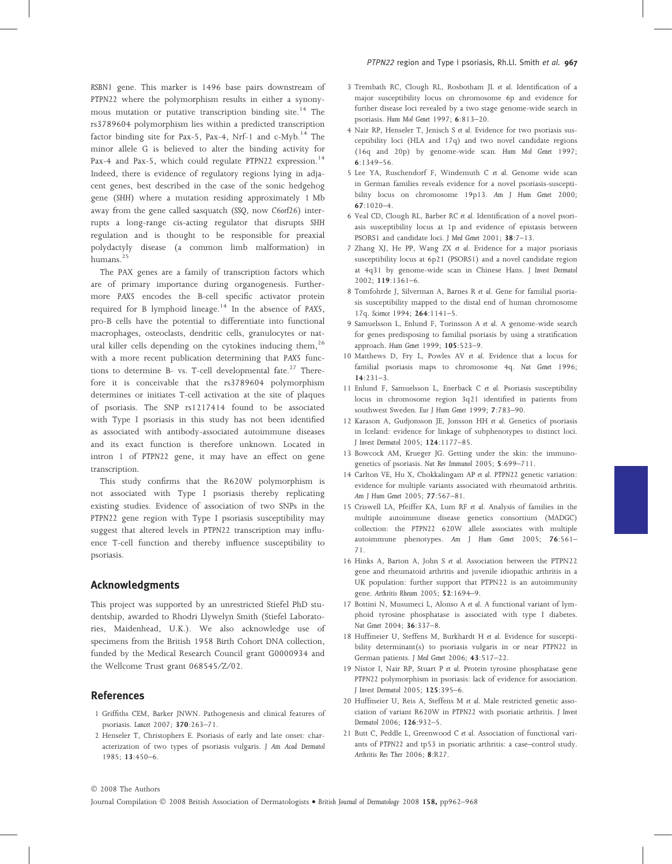RSBN1 gene. This marker is 1496 base pairs downstream of PTPN22 where the polymorphism results in either a synonymous mutation or putative transcription binding site.<sup>14</sup> The rs3789604 polymorphism lies within a predicted transcription factor binding site for Pax-5, Pax-4, Nrf-1 and  $c$ -Myb.<sup>14</sup> The minor allele G is believed to alter the binding activity for Pax-4 and Pax-5, which could regulate PTPN22 expression.<sup>14</sup> Indeed, there is evidence of regulatory regions lying in adjacent genes, best described in the case of the sonic hedgehog gene (SHH) where a mutation residing approximately 1 Mb away from the gene called sasquatch (SSQ, now C6orf26) interrupts a long-range cis-acting regulator that disrupts SHH regulation and is thought to be responsible for preaxial polydactyly disease (a common limb malformation) in humans.<sup>25</sup>

The PAX genes are a family of transcription factors which are of primary importance during organogenesis. Furthermore PAX5 encodes the B-cell specific activator protein required for B lymphoid lineage.<sup>14</sup> In the absence of PAX5, pro-B cells have the potential to differentiate into functional macrophages, osteoclasts, dendritic cells, granulocytes or natural killer cells depending on the cytokines inducing them,  $^{26}$ with a more recent publication determining that PAX5 functions to determine B- vs. T-cell developmental fate.<sup>27</sup> Therefore it is conceivable that the rs3789604 polymorphism determines or initiates T-cell activation at the site of plaques of psoriasis. The SNP rs1217414 found to be associated with Type I psoriasis in this study has not been identified as associated with antibody-associated autoimmune diseases and its exact function is therefore unknown. Located in intron 1 of PTPN22 gene, it may have an effect on gene transcription.

This study confirms that the R620W polymorphism is not associated with Type I psoriasis thereby replicating existing studies. Evidence of association of two SNPs in the PTPN22 gene region with Type I psoriasis susceptibility may suggest that altered levels in PTPN22 transcription may influence T-cell function and thereby influence susceptibility to psoriasis.

## Acknowledgments

This project was supported by an unrestricted Stiefel PhD studentship, awarded to Rhodri Llywelyn Smith (Stiefel Laboratories, Maidenhead, U.K.). We also acknowledge use of specimens from the British 1958 Birth Cohort DNA collection, funded by the Medical Research Council grant G0000934 and the Wellcome Trust grant 068545/Z/02.

## References

- 1 Griffiths CEM, Barker JNWN. Pathogenesis and clinical features of psoriasis. Lancet 2007; 370:263–71.
- 2 Henseler T, Christophers E. Psoriasis of early and late onset: characterization of two types of psoriasis vulgaris. J Am Acad Dermatol 1985; 13:450–6.
- 3 Trembath RC, Clough RL, Rosbotham JL et al. Identification of a major susceptibility locus on chromosome 6p and evidence for further disease loci revealed by a two stage genome-wide search in psoriasis. Hum Mol Genet 1997; 6:813–20.
- 4 Nair RP, Henseler T, Jenisch S et al. Evidence for two psoriasis susceptibility loci (HLA and 17q) and two novel candidate regions (16q and 20p) by genome-wide scan. Hum Mol Genet 1997; 6:1349–56.
- 5 Lee YA, Ruschendorf F, Windemuth C et al. Genome wide scan in German families reveals evidence for a novel psoriasis-susceptibility locus on chromosome 19p13. Am J Hum Genet 2000; 67:1020–4.
- 6 Veal CD, Clough RL, Barber RC et al. Identification of a novel psoriasis susceptibility locus at 1p and evidence of epistasis between PSORS1 and candidate loci. J Med Genet 2001; 38:7–13.
- 7 Zhang XJ, He PP, Wang ZX et al. Evidence for a major psoriasis susceptibility locus at 6p21 (PSORS1) and a novel candidate region at 4q31 by genome-wide scan in Chinese Hans. J Invest Dermatol 2002; 119:1361–6.
- 8 Tomfohrde J, Silverman A, Barnes R et al. Gene for familial psoriasis susceptibility mapped to the distal end of human chromosome 17q. Science 1994; 264:1141-5.
- 9 Samuelsson L, Enlund F, Torinsson A et al. A genome-wide search for genes predisposing to familial psoriasis by using a stratification approach. Hum Genet 1999; 105:523–9.
- 10 Matthews D, Fry L, Powles AV et al. Evidence that a locus for familial psoriasis maps to chromosome 4q. Nat Genet 1996; 14:231–3.
- 11 Enlund F, Samuelsson L, Enerback C et al. Psoriasis susceptibility locus in chromosome region 3q21 identified in patients from southwest Sweden. Eur J Hum Genet 1999; 7:783–90.
- 12 Karason A, Gudjonsson JE, Jonsson HH et al. Genetics of psoriasis in Iceland: evidence for linkage of subphenotypes to distinct loci. J Invest Dermatol 2005; 124:1177–85.
- 13 Bowcock AM, Krueger JG. Getting under the skin: the immunogenetics of psoriasis. Nat Rev Immunol 2005; 5:699–711.
- 14 Carlton VE, Hu X, Chokkalingam AP et al. PTPN22 genetic variation: evidence for multiple variants associated with rheumatoid arthritis. Am J Hum Genet 2005; 77:567–81.
- 15 Criswell LA, Pfeiffer KA, Lum RF et al. Analysis of families in the multiple autoimmune disease genetics consortium (MADGC) collection: the PTPN22 620W allele associates with multiple autoimmune phenotypes. Am J Hum Genet 2005; 76:561– 71.
- 16 Hinks A, Barton A, John S et al. Association between the PTPN22 gene and rheumatoid arthritis and juvenile idiopathic arthritis in a UK population: further support that PTPN22 is an autoimmunity gene. Arthritis Rheum 2005; 52:1694–9.
- 17 Bottini N, Musumeci L, Alonso A et al. A functional variant of lymphoid tyrosine phosphatase is associated with type I diabetes. Nat Genet 2004; 36:337–8.
- 18 Huffmeier U, Steffens M, Burkhardt H et al. Evidence for susceptibility determinant(s) to psoriasis vulgaris in or near PTPN22 in German patients. J Med Genet 2006; 43:517–22.
- 19 Nistor I, Nair RP, Stuart P et al. Protein tyrosine phosphatase gene PTPN22 polymorphism in psoriasis: lack of evidence for association. J Invest Dermatol 2005; 125:395–6.
- 20 Huffmeier U, Reis A, Steffens M et al. Male restricted genetic association of variant R620W in PTPN22 with psoriatic arthritis. J Invest Dermatol 2006; 126:932–5.
- 21 Butt C, Peddle L, Greenwood C et al. Association of functional variants of PTPN22 and tp53 in psoriatic arthritis: a case–control study. Arthritis Res Ther 2006; 8:R27.

#### - 2008 The Authors